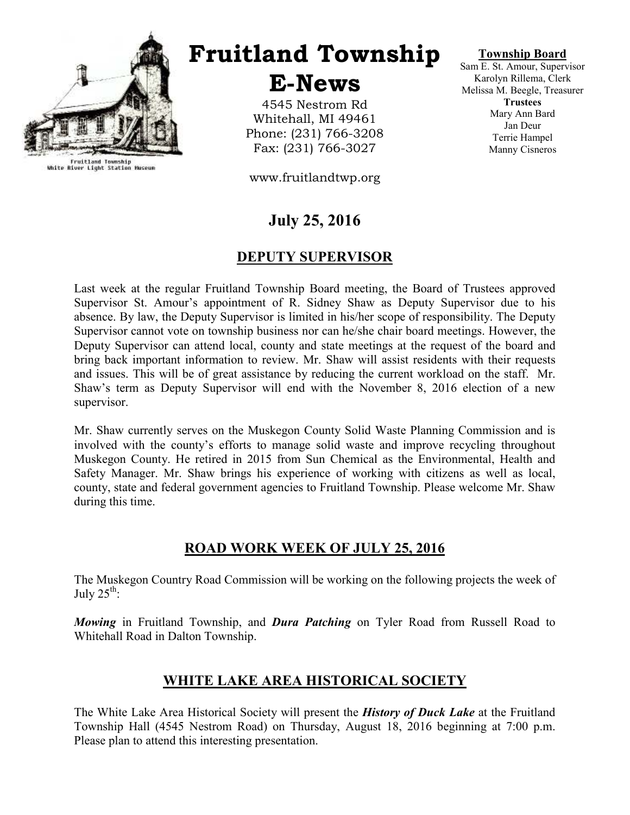

Fruitland Township<br>White River Light Station Museum

Fruitland Township

E-News

4545 Nestrom Rd Whitehall, MI 49461 Phone: (231) 766-3208 Fax: (231) 766-3027

www.fruitlandtwp.org

## July 25, 2016

## DEPUTY SUPERVISOR

Last week at the regular Fruitland Township Board meeting, the Board of Trustees approved Supervisor St. Amour's appointment of R. Sidney Shaw as Deputy Supervisor due to his absence. By law, the Deputy Supervisor is limited in his/her scope of responsibility. The Deputy Supervisor cannot vote on township business nor can he/she chair board meetings. However, the Deputy Supervisor can attend local, county and state meetings at the request of the board and bring back important information to review. Mr. Shaw will assist residents with their requests and issues. This will be of great assistance by reducing the current workload on the staff. Mr. Shaw's term as Deputy Supervisor will end with the November 8, 2016 election of a new supervisor.

Mr. Shaw currently serves on the Muskegon County Solid Waste Planning Commission and is involved with the county's efforts to manage solid waste and improve recycling throughout Muskegon County. He retired in 2015 from Sun Chemical as the Environmental, Health and Safety Manager. Mr. Shaw brings his experience of working with citizens as well as local, county, state and federal government agencies to Fruitland Township. Please welcome Mr. Shaw during this time.

## ROAD WORK WEEK OF JULY 25, 2016

The Muskegon Country Road Commission will be working on the following projects the week of July  $25^{\text{th}}$ :

Mowing in Fruitland Township, and Dura Patching on Tyler Road from Russell Road to Whitehall Road in Dalton Township.

## WHITE LAKE AREA HISTORICAL SOCIETY

The White Lake Area Historical Society will present the *History of Duck Lake* at the Fruitland Township Hall (4545 Nestrom Road) on Thursday, August 18, 2016 beginning at 7:00 p.m. Please plan to attend this interesting presentation.

Township Board

Sam E. St. Amour, Supervisor Karolyn Rillema, Clerk Melissa M. Beegle, Treasurer **Trustees** Mary Ann Bard Jan Deur Terrie Hampel Manny Cisneros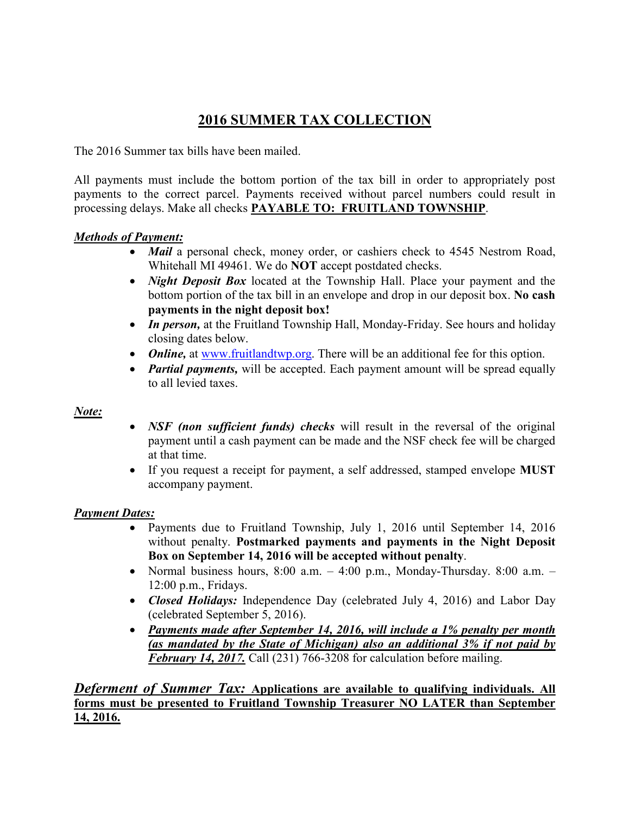## 2016 SUMMER TAX COLLECTION

The 2016 Summer tax bills have been mailed.

All payments must include the bottom portion of the tax bill in order to appropriately post payments to the correct parcel. Payments received without parcel numbers could result in processing delays. Make all checks PAYABLE TO: FRUITLAND TOWNSHIP.

#### Methods of Payment:

- *Mail* a personal check, money order, or cashiers check to 4545 Nestrom Road, Whitehall MI 49461. We do NOT accept postdated checks.
- *Night Deposit Box* located at the Township Hall. Place your payment and the bottom portion of the tax bill in an envelope and drop in our deposit box. No cash payments in the night deposit box!
- In person, at the Fruitland Township Hall, Monday-Friday. See hours and holiday closing dates below.
- *Online*, at www.fruitlandtwp.org. There will be an additional fee for this option.
- *Partial payments*, will be accepted. Each payment amount will be spread equally to all levied taxes.

#### Note:

- NSF (non sufficient funds) checks will result in the reversal of the original payment until a cash payment can be made and the NSF check fee will be charged at that time.
- If you request a receipt for payment, a self addressed, stamped envelope **MUST** accompany payment.

#### Payment Dates:

- Payments due to Fruitland Township, July 1, 2016 until September 14, 2016 without penalty. Postmarked payments and payments in the Night Deposit Box on September 14, 2016 will be accepted without penalty.
- Normal business hours,  $8:00$  a.m.  $-4:00$  p.m., Monday-Thursday.  $8:00$  a.m.  $-$ 12:00 p.m., Fridays.
- Closed Holidays: Independence Day (celebrated July 4, 2016) and Labor Day (celebrated September 5, 2016).
- Payments made after September 14, 2016, will include a 1% penalty per month (as mandated by the State of Michigan) also an additional  $3\%$  if not paid by February 14, 2017. Call (231) 766-3208 for calculation before mailing.

Deferment of Summer Tax: Applications are available to qualifying individuals. All forms must be presented to Fruitland Township Treasurer NO LATER than September 14, 2016.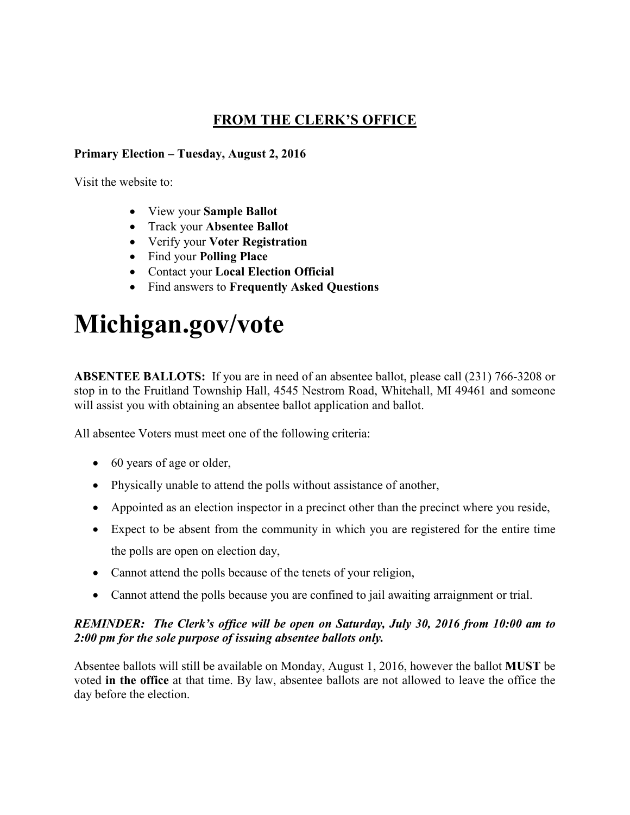## FROM THE CLERK'S OFFICE

#### Primary Election – Tuesday, August 2, 2016

Visit the website to:

- View your Sample Ballot
- Track your Absentee Ballot
- Verify your Voter Registration
- Find your Polling Place
- Contact your Local Election Official
- Find answers to Frequently Asked Questions

# Michigan.gov/vote

ABSENTEE BALLOTS: If you are in need of an absentee ballot, please call (231) 766-3208 or stop in to the Fruitland Township Hall, 4545 Nestrom Road, Whitehall, MI 49461 and someone will assist you with obtaining an absentee ballot application and ballot.

All absentee Voters must meet one of the following criteria:

- 60 years of age or older,
- Physically unable to attend the polls without assistance of another,
- Appointed as an election inspector in a precinct other than the precinct where you reside,
- Expect to be absent from the community in which you are registered for the entire time the polls are open on election day,
- Cannot attend the polls because of the tenets of your religion,
- Cannot attend the polls because you are confined to jail awaiting arraignment or trial.

#### REMINDER: The Clerk's office will be open on Saturday, July 30, 2016 from 10:00 am to 2:00 pm for the sole purpose of issuing absentee ballots only.

Absentee ballots will still be available on Monday, August 1, 2016, however the ballot MUST be voted in the office at that time. By law, absentee ballots are not allowed to leave the office the day before the election.